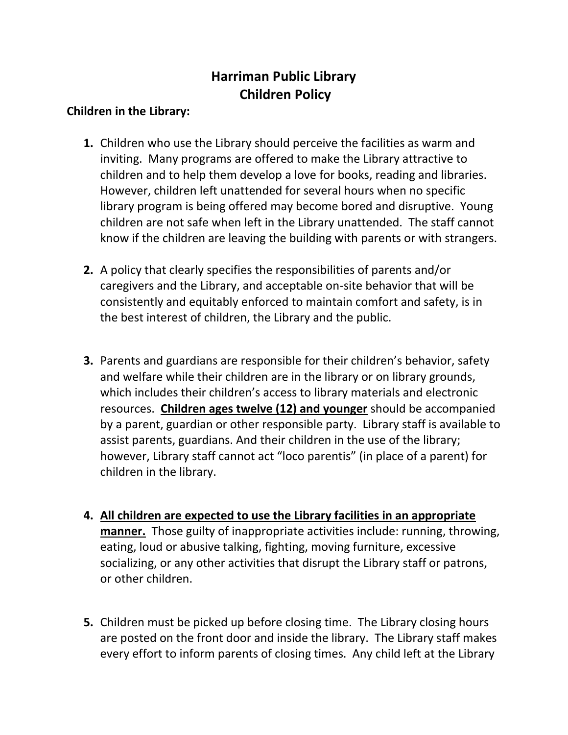## **Harriman Public Library Children Policy**

## **Children in the Library:**

- **1.** Children who use the Library should perceive the facilities as warm and inviting. Many programs are offered to make the Library attractive to children and to help them develop a love for books, reading and libraries. However, children left unattended for several hours when no specific library program is being offered may become bored and disruptive. Young children are not safe when left in the Library unattended. The staff cannot know if the children are leaving the building with parents or with strangers.
- **2.** A policy that clearly specifies the responsibilities of parents and/or caregivers and the Library, and acceptable on-site behavior that will be consistently and equitably enforced to maintain comfort and safety, is in the best interest of children, the Library and the public.
- **3.** Parents and guardians are responsible for their children's behavior, safety and welfare while their children are in the library or on library grounds, which includes their children's access to library materials and electronic resources. **Children ages twelve (12) and younger** should be accompanied by a parent, guardian or other responsible party. Library staff is available to assist parents, guardians. And their children in the use of the library; however, Library staff cannot act "loco parentis" (in place of a parent) for children in the library.
- **4. All children are expected to use the Library facilities in an appropriate manner.** Those guilty of inappropriate activities include: running, throwing, eating, loud or abusive talking, fighting, moving furniture, excessive socializing, or any other activities that disrupt the Library staff or patrons, or other children.
- **5.** Children must be picked up before closing time. The Library closing hours are posted on the front door and inside the library. The Library staff makes every effort to inform parents of closing times. Any child left at the Library